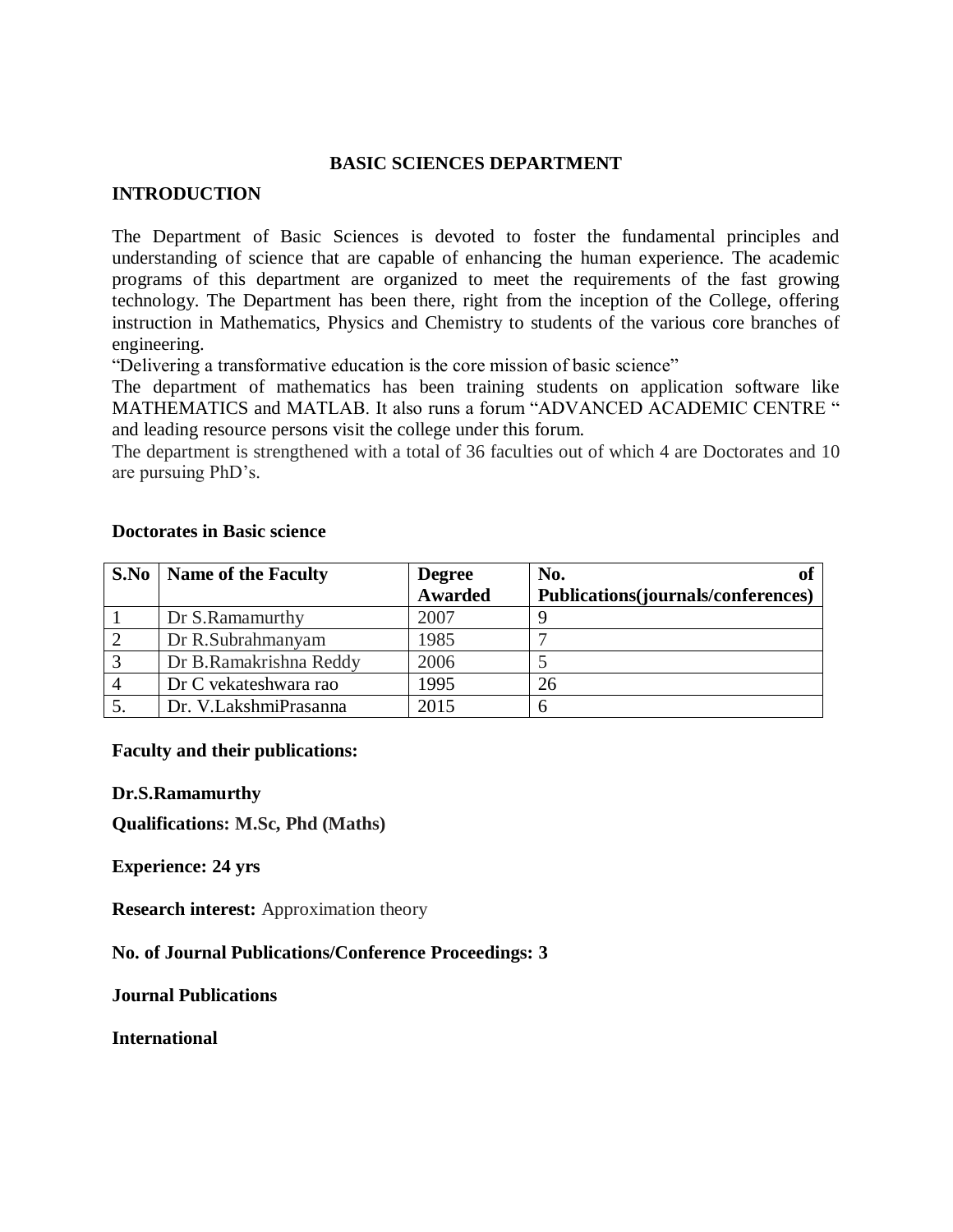### **BASIC SCIENCES DEPARTMENT**

#### **INTRODUCTION**

The Department of Basic Sciences is devoted to foster the fundamental principles and understanding of science that are capable of enhancing the human experience. The academic programs of this department are organized to meet the requirements of the fast growing technology. The Department has been there, right from the inception of the College, offering instruction in Mathematics, Physics and Chemistry to students of the various core branches of engineering.

"Delivering a transformative education is the core mission of basic science"

The department of mathematics has been training students on application software like MATHEMATICS and MATLAB. It also runs a forum "ADVANCED ACADEMIC CENTRE " and leading resource persons visit the college under this forum.

The department is strengthened with a total of 36 faculties out of which 4 are Doctorates and 10 are pursuing PhD's.

| S.No           | <b>Name of the Faculty</b> | <b>Degree</b><br><b>Awarded</b> | No.<br>Publications(journals/conferences) |
|----------------|----------------------------|---------------------------------|-------------------------------------------|
|                | Dr S.Ramamurthy            | 2007                            |                                           |
|                | Dr R.Subrahmanyam          | 1985                            |                                           |
| $\overline{3}$ | Dr B.Ramakrishna Reddy     | 2006                            |                                           |
|                | Dr C vekateshwara rao      | 1995                            | 26                                        |
|                | Dr. V.LakshmiPrasanna      | 2015                            | n                                         |

#### **Doctorates in Basic science**

#### **Faculty and their publications:**

#### **Dr.S.Ramamurthy**

**Qualifications: M.Sc, Phd (Maths)**

**Experience: 24 yrs**

**Research interest:** Approximation theory

**No. of Journal Publications/Conference Proceedings: 3**

**Journal Publications**

**International**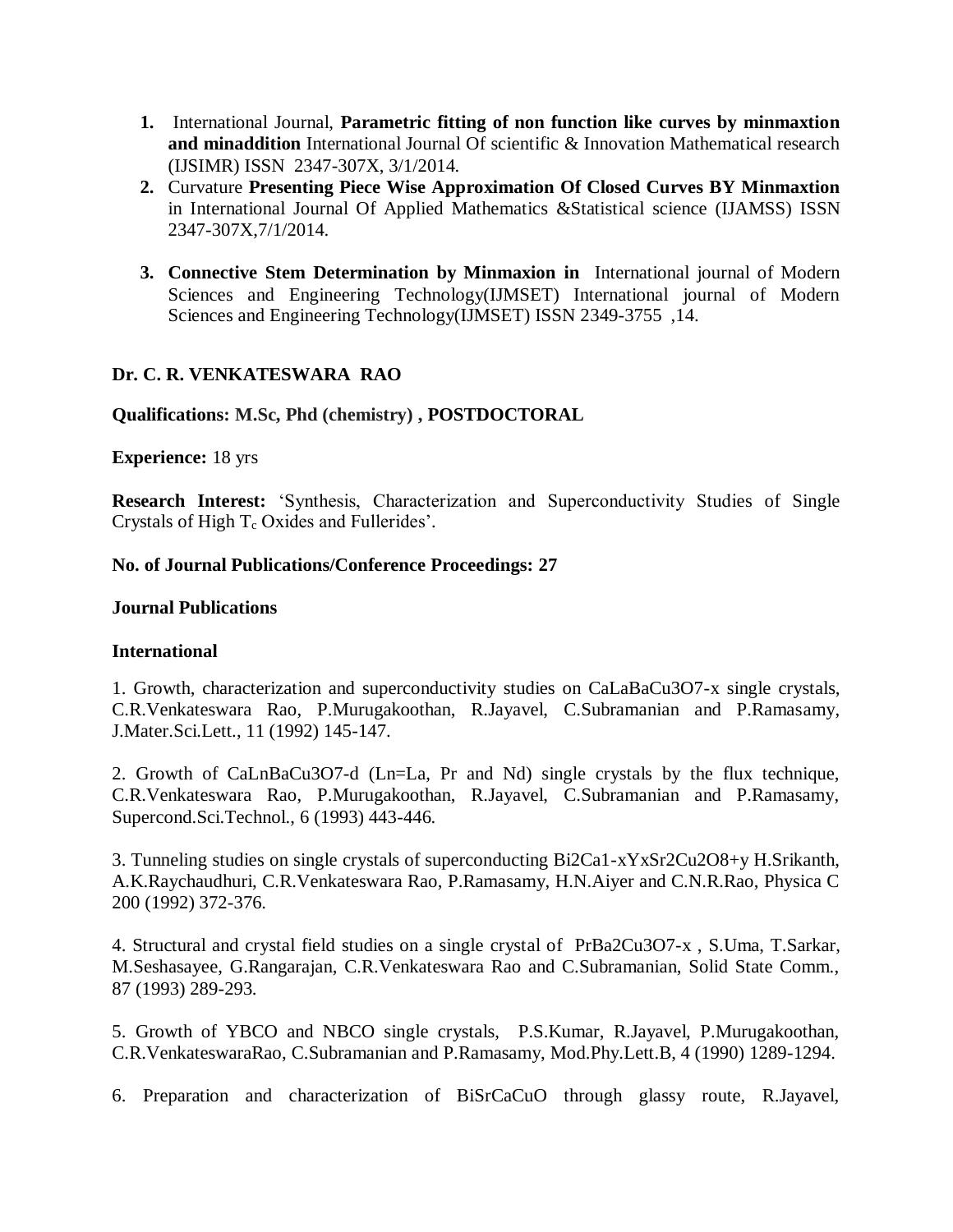- **1.** International Journal, **Parametric fitting of non function like curves by minmaxtion and minaddition** International Journal Of scientific & Innovation Mathematical research (IJSIMR) ISSN 2347-307X, 3/1/2014.
- **2.** Curvature **Presenting Piece Wise Approximation Of Closed Curves BY Minmaxtion** in International Journal Of Applied Mathematics &Statistical science (IJAMSS) ISSN 2347-307X,7/1/2014.
- **3. Connective Stem Determination by Minmaxion in** International journal of Modern Sciences and Engineering Technology(IJMSET) International journal of Modern Sciences and Engineering Technology(IJMSET) ISSN 2349-3755 ,14.

# **Dr. C. R. VENKATESWARA RAO**

# **Qualifications: M.Sc, Phd (chemistry) , POSTDOCTORAL**

### **Experience:** 18 yrs

**Research Interest:** 'Synthesis, Characterization and Superconductivity Studies of Single Crystals of High  $T_c$  Oxides and Fullerides'.

### **No. of Journal Publications/Conference Proceedings: 27**

### **Journal Publications**

### **International**

1. Growth, characterization and superconductivity studies on CaLaBaCu3O7-x single crystals, C.R.Venkateswara Rao, P.Murugakoothan, R.Jayavel, C.Subramanian and P.Ramasamy, J.Mater.Sci.Lett., 11 (1992) 145-147.

2. Growth of CaLnBaCu3O7-d (Ln=La, Pr and Nd) single crystals by the flux technique, C.R.Venkateswara Rao, P.Murugakoothan, R.Jayavel, C.Subramanian and P.Ramasamy, Supercond.Sci.Technol., 6 (1993) 443-446.

3. Tunneling studies on single crystals of superconducting Bi2Ca1-xYxSr2Cu2O8+y H.Srikanth, A.K.Raychaudhuri, C.R.Venkateswara Rao, P.Ramasamy, H.N.Aiyer and C.N.R.Rao, Physica C 200 (1992) 372-376.

4. Structural and crystal field studies on a single crystal of PrBa2Cu3O7-x , S.Uma, T.Sarkar, M.Seshasayee, G.Rangarajan, C.R.Venkateswara Rao and C.Subramanian, Solid State Comm., 87 (1993) 289-293.

5. Growth of YBCO and NBCO single crystals, P.S.Kumar, R.Jayavel, P.Murugakoothan, C.R.VenkateswaraRao, C.Subramanian and P.Ramasamy, Mod.Phy.Lett.B, 4 (1990) 1289-1294.

6. Preparation and characterization of BiSrCaCuO through glassy route, R.Jayavel,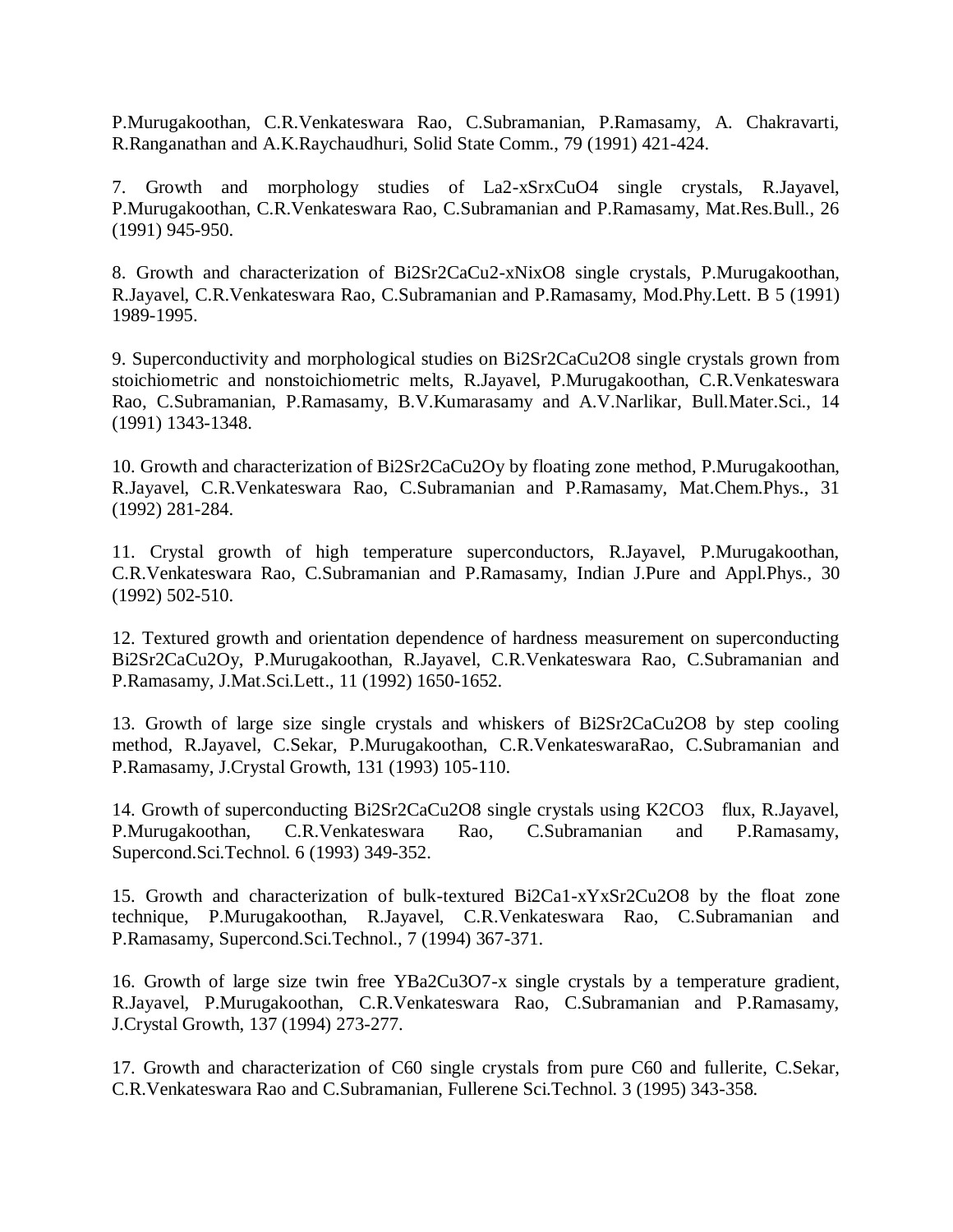P.Murugakoothan, C.R.Venkateswara Rao, C.Subramanian, P.Ramasamy, A. Chakravarti, R.Ranganathan and A.K.Raychaudhuri, Solid State Comm., 79 (1991) 421-424.

7. Growth and morphology studies of La2-xSrxCuO4 single crystals, R.Jayavel, P.Murugakoothan, C.R.Venkateswara Rao, C.Subramanian and P.Ramasamy, Mat.Res.Bull., 26 (1991) 945-950.

8. Growth and characterization of Bi2Sr2CaCu2-xNixO8 single crystals, P.Murugakoothan, R.Jayavel, C.R.Venkateswara Rao, C.Subramanian and P.Ramasamy, Mod.Phy.Lett. B 5 (1991) 1989-1995.

9. Superconductivity and morphological studies on Bi2Sr2CaCu2O8 single crystals grown from stoichiometric and nonstoichiometric melts, R.Jayavel, P.Murugakoothan, C.R.Venkateswara Rao, C.Subramanian, P.Ramasamy, B.V.Kumarasamy and A.V.Narlikar, Bull.Mater.Sci., 14 (1991) 1343-1348.

10. Growth and characterization of Bi2Sr2CaCu2Oy by floating zone method, P.Murugakoothan, R.Jayavel, C.R.Venkateswara Rao, C.Subramanian and P.Ramasamy, Mat.Chem.Phys., 31 (1992) 281-284.

11. Crystal growth of high temperature superconductors, R.Jayavel, P.Murugakoothan, C.R.Venkateswara Rao, C.Subramanian and P.Ramasamy, Indian J.Pure and Appl.Phys., 30 (1992) 502-510.

12. Textured growth and orientation dependence of hardness measurement on superconducting Bi2Sr2CaCu2Oy, P.Murugakoothan, R.Jayavel, C.R.Venkateswara Rao, C.Subramanian and P.Ramasamy, J.Mat.Sci.Lett., 11 (1992) 1650-1652.

13. Growth of large size single crystals and whiskers of Bi2Sr2CaCu2O8 by step cooling method, R.Jayavel, C.Sekar, P.Murugakoothan, C.R.VenkateswaraRao, C.Subramanian and P.Ramasamy, J.Crystal Growth, 131 (1993) 105-110.

14. Growth of superconducting Bi2Sr2CaCu2O8 single crystals using K2CO3 flux, R.Jayavel, P.Murugakoothan, C.R.Venkateswara Rao, C.Subramanian and P.Ramasamy, Supercond.Sci.Technol. 6 (1993) 349-352.

15. Growth and characterization of bulk-textured Bi2Ca1-xYxSr2Cu2O8 by the float zone technique, P.Murugakoothan, R.Jayavel, C.R.Venkateswara Rao, C.Subramanian and P.Ramasamy, Supercond.Sci.Technol., 7 (1994) 367-371.

16. Growth of large size twin free YBa2Cu3O7-x single crystals by a temperature gradient, R.Jayavel, P.Murugakoothan, C.R.Venkateswara Rao, C.Subramanian and P.Ramasamy, J.Crystal Growth, 137 (1994) 273-277.

17. Growth and characterization of C60 single crystals from pure C60 and fullerite, C.Sekar, C.R.Venkateswara Rao and C.Subramanian, Fullerene Sci.Technol. 3 (1995) 343-358.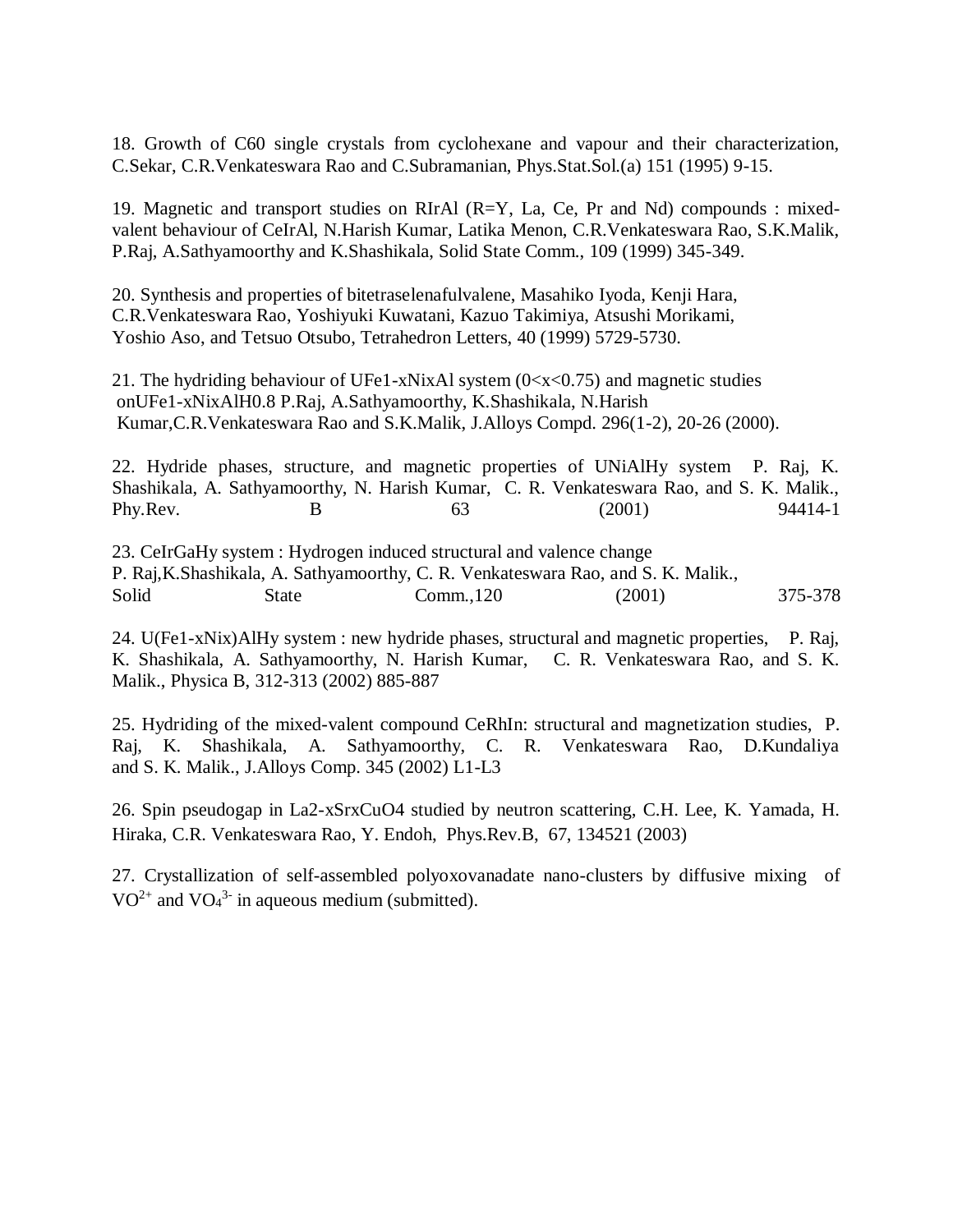18. Growth of C60 single crystals from cyclohexane and vapour and their characterization, C.Sekar, C.R.Venkateswara Rao and C.Subramanian, Phys.Stat.Sol.(a) 151 (1995) 9-15.

19. Magnetic and transport studies on RIrAl (R=Y, La, Ce, Pr and Nd) compounds : mixedvalent behaviour of CeIrAl, N.Harish Kumar, Latika Menon, C.R.Venkateswara Rao, S.K.Malik, P.Raj, A.Sathyamoorthy and K.Shashikala, Solid State Comm., 109 (1999) 345-349.

20. Synthesis and properties of bitetraselenafulvalene, Masahiko Iyoda, Kenji Hara, C.R.Venkateswara Rao, Yoshiyuki Kuwatani, Kazuo Takimiya, Atsushi Morikami, Yoshio Aso, and Tetsuo Otsubo, Tetrahedron Letters, 40 (1999) 5729-5730.

21. The hydriding behaviour of UFe1-xNixAl system  $(0 \lt x \lt 0.75)$  and magnetic studies onUFe1-xNixAlH0.8 P.Raj, A.Sathyamoorthy, K.Shashikala, N.Harish Kumar,C.R.Venkateswara Rao and S.K.Malik, J.Alloys Compd. 296(1-2), 20-26 (2000).

22. Hydride phases, structure, and magnetic properties of UNiAlHy system P. Raj, K. Shashikala, A. Sathyamoorthy, N. Harish Kumar, C. R. Venkateswara Rao, and S. K. Malik., Phy.Rev. B B 63 (2001) 94414-1

23. CeIrGaHy system : Hydrogen induced structural and valence change P. Raj,K.Shashikala, A. Sathyamoorthy, C. R. Venkateswara Rao, and S. K. Malik., Solid State Comm.,120 (2001) 375-378

24. U(Fe1-xNix)AlHy system : new hydride phases, structural and magnetic properties, P. Raj, K. Shashikala, A. Sathyamoorthy, N. Harish Kumar, C. R. Venkateswara Rao, and S. K. Malik., Physica B, 312-313 (2002) 885-887

25. Hydriding of the mixed-valent compound CeRhIn: structural and magnetization studies, P. Raj, K. Shashikala, A. Sathyamoorthy, C. R. Venkateswara Rao, D.Kundaliya and S. K. Malik., J.Alloys Comp. 345 (2002) L1-L3

26. Spin pseudogap in La2-xSrxCuO4 studied by neutron scattering, C.H. Lee, K. Yamada, H. Hiraka, C.R. Venkateswara Rao, Y. Endoh, Phys.Rev.B, 67, 134521 (2003)

27. Crystallization of self-assembled polyoxovanadate nano-clusters by diffusive mixing of  $VO^{2+}$  and  $VO_4^{3-}$  in aqueous medium (submitted).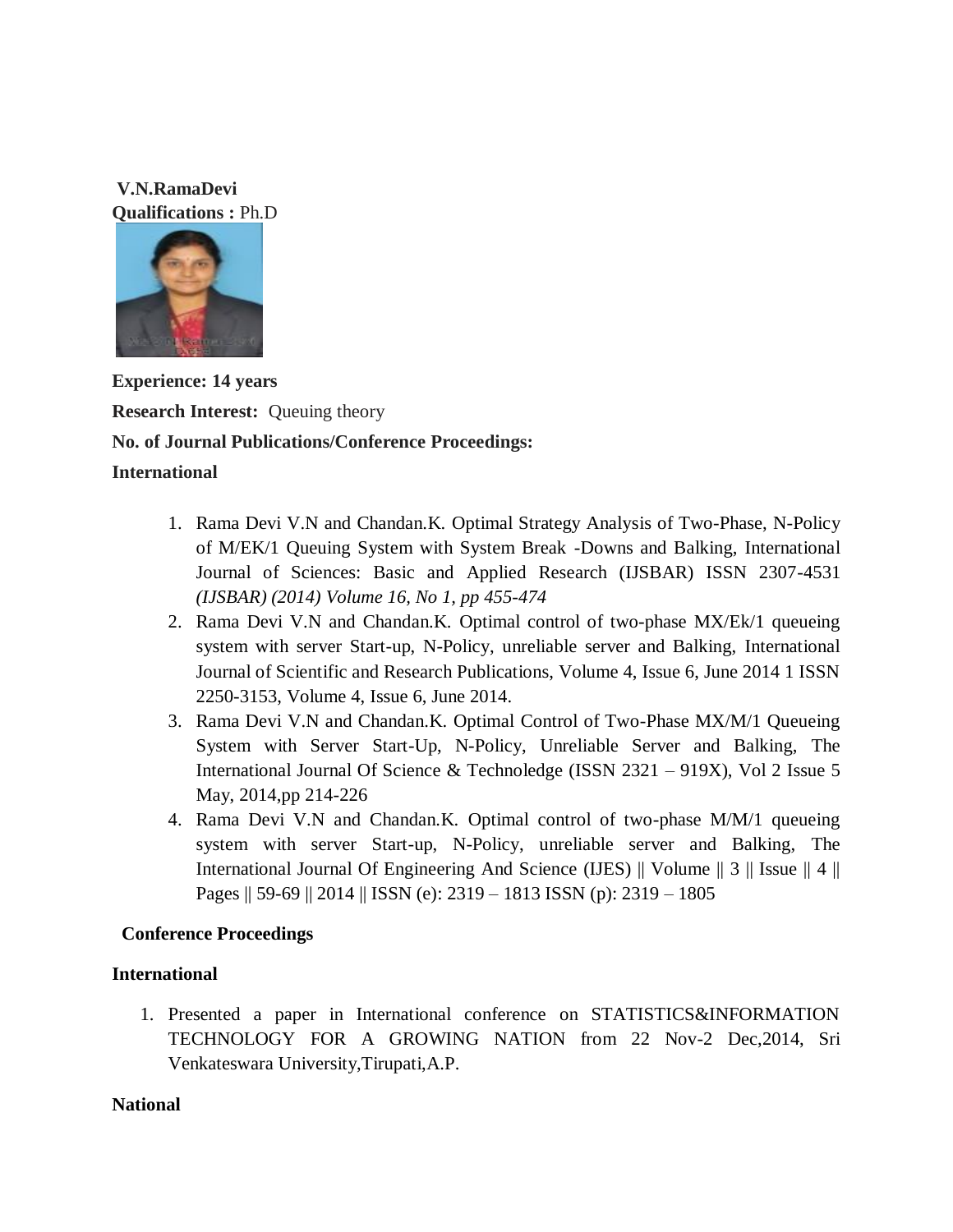**V.N.RamaDevi Qualifications :** Ph.D



**Experience: 14 years Research Interest:** Queuing theory **No. of Journal Publications/Conference Proceedings: International**

- 1. Rama Devi V.N and Chandan.K. Optimal Strategy Analysis of Two-Phase, N-Policy of M/EK/1 Queuing System with System Break -Downs and Balking, International Journal of Sciences: Basic and Applied Research (IJSBAR) ISSN 2307-4531 *(IJSBAR) (2014) Volume 16, No 1, pp 455-474*
- 2. Rama Devi V.N and Chandan.K. Optimal control of two-phase MX/Ek/1 queueing system with server Start-up, N-Policy, unreliable server and Balking, International Journal of Scientific and Research Publications, Volume 4, Issue 6, June 2014 1 ISSN 2250-3153, Volume 4, Issue 6, June 2014.
- 3. Rama Devi V.N and Chandan.K. Optimal Control of Two-Phase MX/M/1 Queueing System with Server Start-Up, N-Policy, Unreliable Server and Balking, The International Journal Of Science & Technoledge (ISSN 2321 – 919X), Vol 2 Issue 5 May, 2014,pp 214-226
- 4. Rama Devi V.N and Chandan.K. Optimal control of two-phase M/M/1 queueing system with server Start-up, N-Policy, unreliable server and Balking, The International Journal Of Engineering And Science (IJES) || Volume || 3 || Issue || 4 || Pages || 59-69 || 2014 || ISSN (e): 2319 – 1813 ISSN (p): 2319 – 1805

# **Conference Proceedings**

# **International**

1. Presented a paper in International conference on STATISTICS&INFORMATION TECHNOLOGY FOR A GROWING NATION from 22 Nov-2 Dec,2014, Sri Venkateswara University,Tirupati,A.P.

# **National**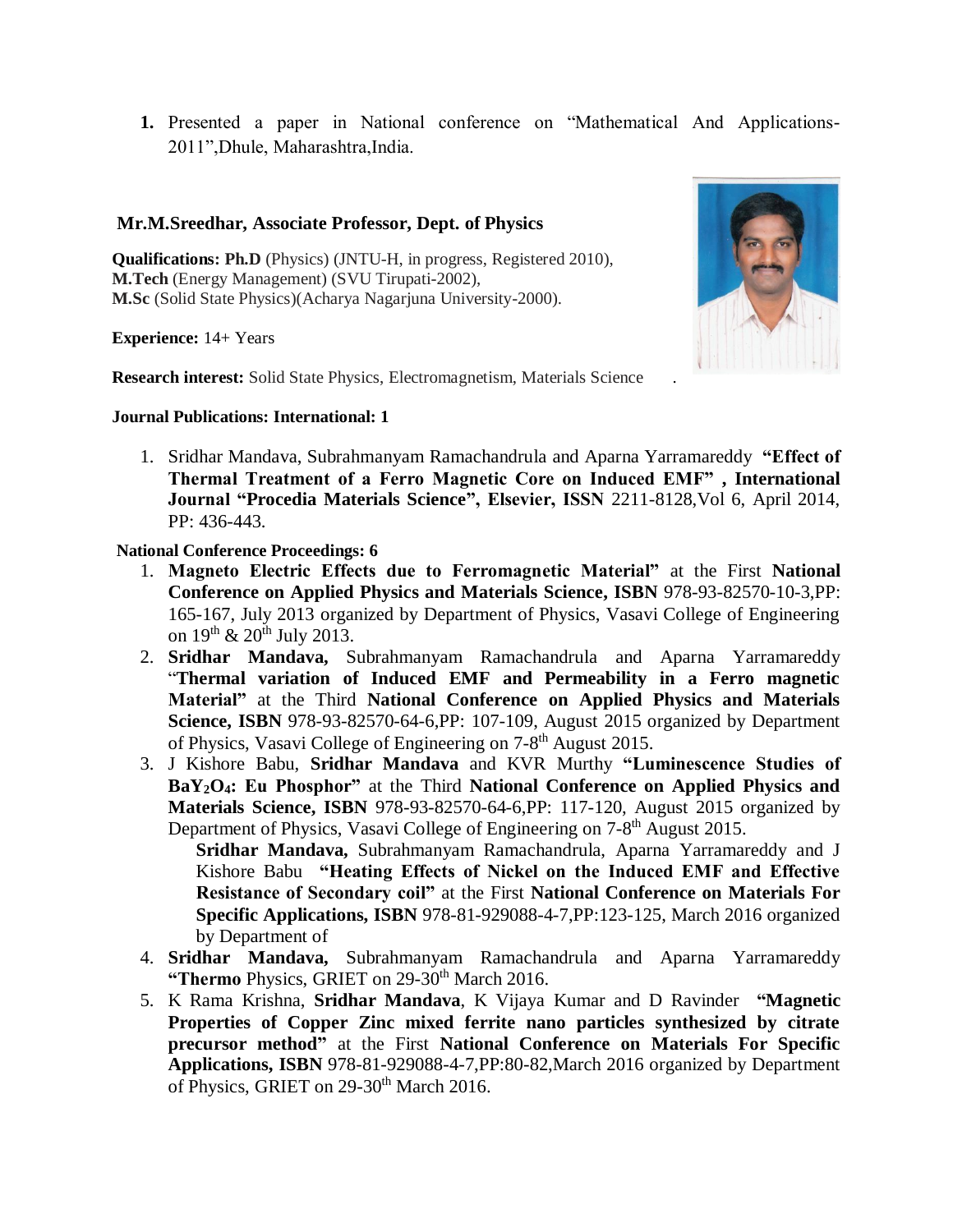**1.** Presented a paper in National conference on "Mathematical And Applications-2011",Dhule, Maharashtra,India.

### **Mr.M.Sreedhar, Associate Professor, Dept. of Physics**

**Qualifications: Ph.D** (Physics) (JNTU-H, in progress, Registered 2010), **M.Tech** (Energy Management) (SVU Tirupati-2002), **M.Sc** (Solid State Physics)(Acharya Nagarjuna University-2000).

**Experience:** 14+ Years

**Research interest:** Solid State Physics, Electromagnetism, Materials Science .

#### **Journal Publications: International: 1**

1. Sridhar Mandava, Subrahmanyam Ramachandrula and Aparna Yarramareddy **"Effect of Thermal Treatment of a Ferro Magnetic Core on Induced EMF" , International Journal "Procedia Materials Science", Elsevier, ISSN** 2211-8128,Vol 6, April 2014, PP: 436-443.

### **National Conference Proceedings: 6**

- 1. **Magneto Electric Effects due to Ferromagnetic Material"** at the First **National Conference on Applied Physics and Materials Science, ISBN** 978-93-82570-10-3,PP: 165-167, July 2013 organized by Department of Physics, Vasavi College of Engineering on  $19^{th}$  &  $20^{th}$  July 2013.
- 2. **Sridhar Mandava,** Subrahmanyam Ramachandrula and Aparna Yarramareddy "**Thermal variation of Induced EMF and Permeability in a Ferro magnetic Material"** at the Third **National Conference on Applied Physics and Materials Science, ISBN** 978-93-82570-64-6,PP: 107-109, August 2015 organized by Department of Physics, Vasavi College of Engineering on 7-8<sup>th</sup> August 2015.
- 3. J Kishore Babu, **Sridhar Mandava** and KVR Murthy **"Luminescence Studies of BaY2O4: Eu Phosphor"** at the Third **National Conference on Applied Physics and Materials Science, ISBN** 978-93-82570-64-6,PP: 117-120, August 2015 organized by Department of Physics, Vasavi College of Engineering on 7-8<sup>th</sup> August 2015.

**Sridhar Mandava,** Subrahmanyam Ramachandrula, Aparna Yarramareddy and J Kishore Babu **"Heating Effects of Nickel on the Induced EMF and Effective Resistance of Secondary coil"** at the First **National Conference on Materials For Specific Applications, ISBN** 978-81-929088-4-7,PP:123-125, March 2016 organized by Department of

- 4. **Sridhar Mandava,** Subrahmanyam Ramachandrula and Aparna Yarramareddy **"Thermo** Physics, GRIET on 29-30<sup>th</sup> March 2016.
- 5. K Rama Krishna, **Sridhar Mandava**, K Vijaya Kumar and D Ravinder **"Magnetic Properties of Copper Zinc mixed ferrite nano particles synthesized by citrate precursor method"** at the First **National Conference on Materials For Specific Applications, ISBN** 978-81-929088-4-7,PP:80-82,March 2016 organized by Department of Physics, GRIET on 29-30<sup>th</sup> March 2016.

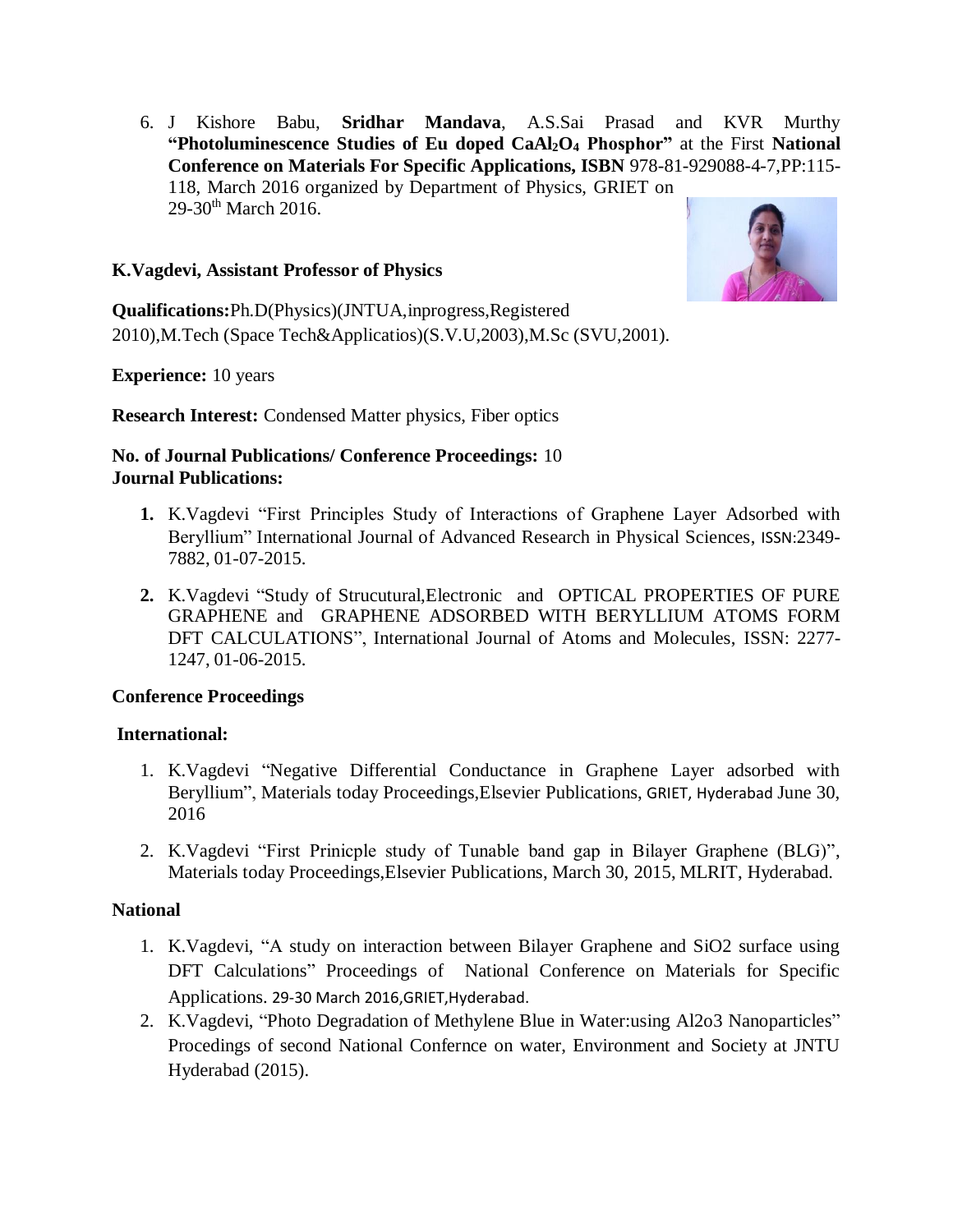6. J Kishore Babu, **Sridhar Mandava**, A.S.Sai Prasad and KVR Murthy **"Photoluminescence Studies of Eu doped CaAl2O<sup>4</sup> Phosphor"** at the First **National Conference on Materials For Specific Applications, ISBN** 978-81-929088-4-7,PP:115- 118, March 2016 organized by Department of Physics, GRIET on  $29-30$ <sup>th</sup> March 2016.

### **K.Vagdevi, Assistant Professor of Physics**



**Qualifications:**Ph.D(Physics)(JNTUA,inprogress,Registered 2010),M.Tech (Space Tech&Applicatios)(S.V.U,2003),M.Sc (SVU,2001).

**Experience:** 10 years

**Research Interest:** Condensed Matter physics, Fiber optics

### **No. of Journal Publications/ Conference Proceedings:** 10 **Journal Publications:**

- **1.** K.Vagdevi "First Principles Study of Interactions of Graphene Layer Adsorbed with Beryllium" International Journal of Advanced Research in Physical Sciences, ISSN:2349- 7882, 01-07-2015.
- **2.** K.Vagdevi "Study of Strucutural,Electronic and OPTICAL PROPERTIES OF PURE GRAPHENE and GRAPHENE ADSORBED WITH BERYLLIUM ATOMS FORM DFT CALCULATIONS", International Journal of Atoms and Molecules, ISSN: 2277- 1247, 01-06-2015.

### **Conference Proceedings**

### **International:**

- 1. K.Vagdevi "Negative Differential Conductance in Graphene Layer adsorbed with Beryllium", Materials today Proceedings,Elsevier Publications, GRIET, Hyderabad June 30, 2016
- 2. K.Vagdevi "First Prinicple study of Tunable band gap in Bilayer Graphene (BLG)", Materials today Proceedings,Elsevier Publications, March 30, 2015, MLRIT, Hyderabad.

### **National**

- 1. K.Vagdevi, "A study on interaction between Bilayer Graphene and SiO2 surface using DFT Calculations" Proceedings of National Conference on Materials for Specific Applications. 29-30 March 2016,GRIET,Hyderabad.
- 2. K.Vagdevi, "Photo Degradation of Methylene Blue in Water:using Al2o3 Nanoparticles" Procedings of second National Confernce on water, Environment and Society at JNTU Hyderabad (2015).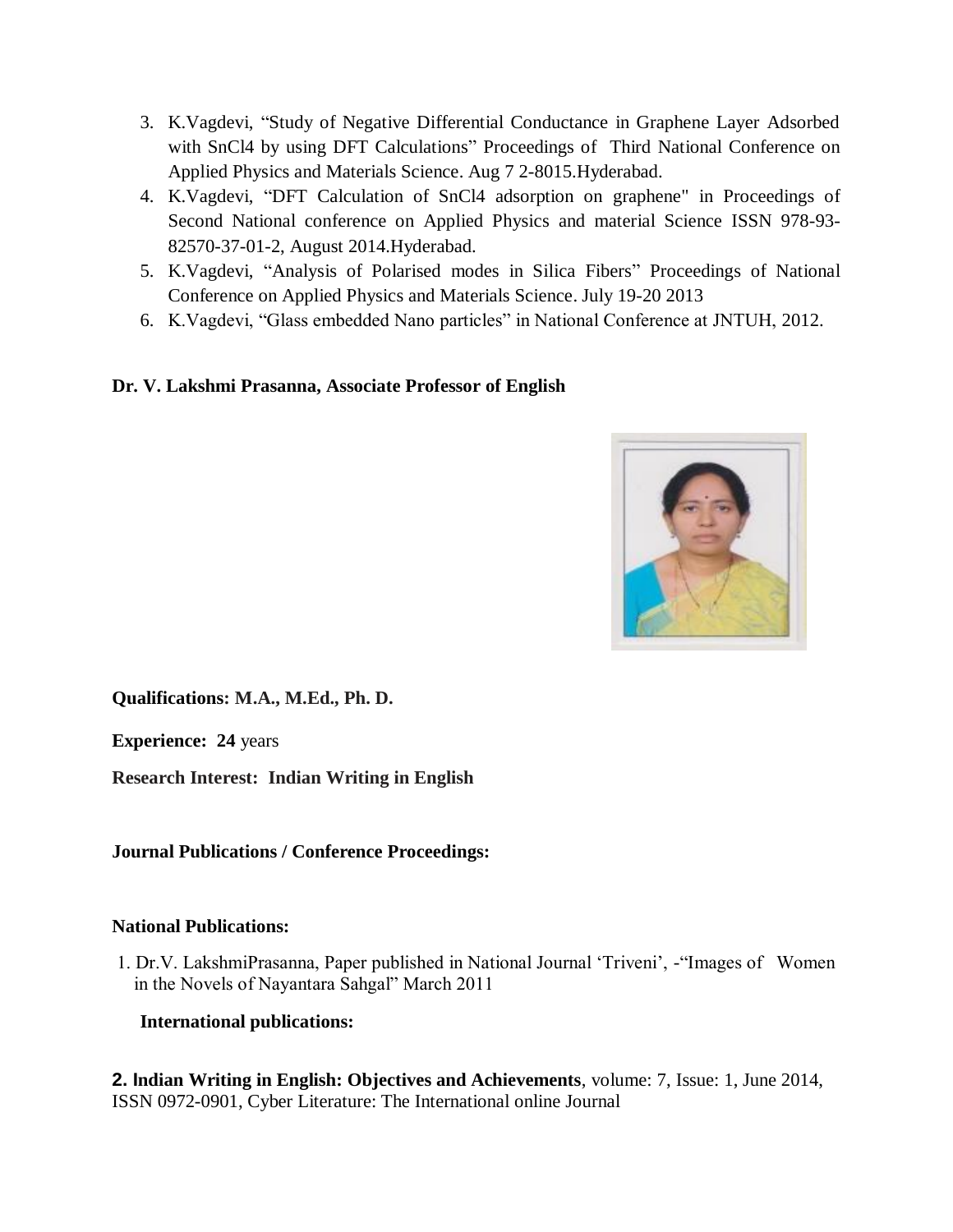- 3. K.Vagdevi, "Study of Negative Differential Conductance in Graphene Layer Adsorbed with SnCl4 by using DFT Calculations" Proceedings of Third National Conference on Applied Physics and Materials Science. Aug 7 2-8015.Hyderabad.
- 4. K.Vagdevi, "DFT Calculation of SnCl4 adsorption on graphene" in Proceedings of Second National conference on Applied Physics and material Science ISSN 978-93- 82570-37-01-2, August 2014.Hyderabad.
- 5. K.Vagdevi, "Analysis of Polarised modes in Silica Fibers" Proceedings of National Conference on Applied Physics and Materials Science. July 19-20 2013
- 6. K.Vagdevi, "Glass embedded Nano particles" in National Conference at JNTUH, 2012.

# **Dr. V. Lakshmi Prasanna, Associate Professor of English**



**Qualifications: M.A., M.Ed., Ph. D.** 

**Experience: 24** years

**Research Interest: Indian Writing in English** 

**Journal Publications / Conference Proceedings:** 

### **National Publications:**

1. Dr.V. LakshmiPrasanna, Paper published in National Journal 'Triveni', -"Images of Women in the Novels of Nayantara Sahgal" March 2011

**International publications:**

**2. Indian Writing in English: Objectives and Achievements**, volume: 7, Issue: 1, June 2014, ISSN 0972-0901, Cyber Literature: The International online Journal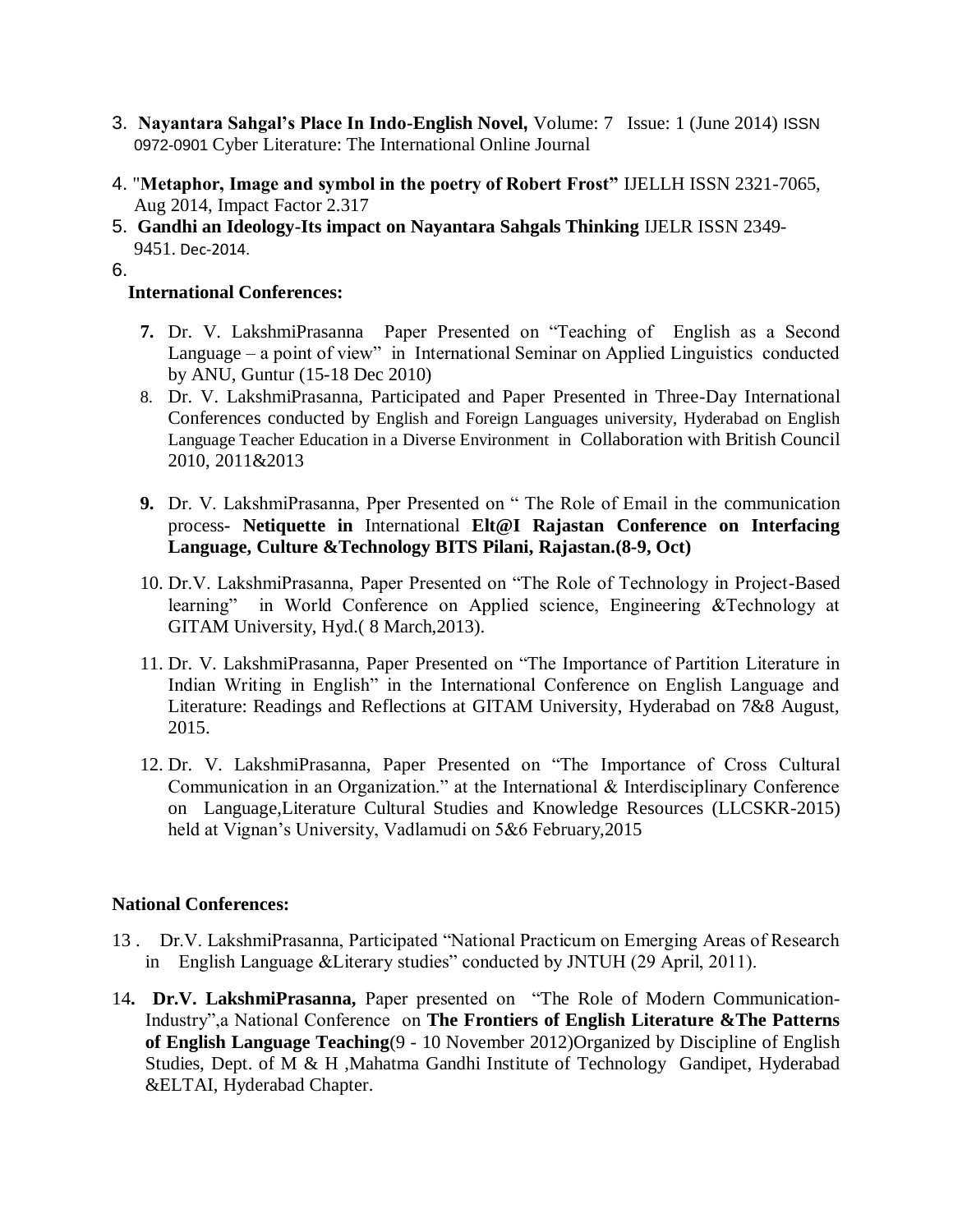- 3. **Nayantara Sahgal's Place In Indo-English Novel,** Volume: 7 Issue: 1 (June 2014) ISSN 0972-0901 Cyber Literature: The International Online Journal
- 4. "**Metaphor, Image and symbol in the poetry of Robert Frost"** IJELLH ISSN 2321-7065, Aug 2014, Impact Factor 2.317
- 5. **Gandhi an Ideology-Its impact on Nayantara Sahgals Thinking** IJELR ISSN 2349- 9451. Dec-2014.

6.

## **International Conferences:**

- **7.** Dr. V. LakshmiPrasanna Paper Presented on "Teaching of English as a Second Language – a point of view" in International Seminar on Applied Linguistics conducted by ANU, Guntur (15-18 Dec 2010)
- 8. Dr. V. LakshmiPrasanna, Participated and Paper Presented in Three-Day International Conferences conducted by English and Foreign Languages university, Hyderabad on English Language Teacher Education in a Diverse Environment in Collaboration with British Council 2010, 2011&2013
- **9.** Dr. V. LakshmiPrasanna, Pper Presented on " The Role of Email in the communication process**- Netiquette in** International **Elt@I Rajastan Conference on Interfacing Language, Culture &Technology BITS Pilani, Rajastan.(8-9, Oct)**
- 10. Dr.V. LakshmiPrasanna, Paper Presented on "The Role of Technology in Project-Based learning" in World Conference on Applied science, Engineering &Technology at GITAM University, Hyd.( 8 March,2013).
- 11. Dr. V. LakshmiPrasanna, Paper Presented on "The Importance of Partition Literature in Indian Writing in English" in the International Conference on English Language and Literature: Readings and Reflections at GITAM University, Hyderabad on 7&8 August, 2015.
- 12. Dr. V. LakshmiPrasanna, Paper Presented on "The Importance of Cross Cultural Communication in an Organization." at the International & Interdisciplinary Conference on Language,Literature Cultural Studies and Knowledge Resources (LLCSKR-2015) held at Vignan's University, Vadlamudi on 5&6 February,2015

### **National Conferences:**

- 13 . Dr.V. LakshmiPrasanna, Participated "National Practicum on Emerging Areas of Research in English Language &Literary studies" conducted by JNTUH (29 April, 2011).
- 14**. Dr.V. LakshmiPrasanna,** Paper presented on "The Role of Modern Communication-Industry",a National Conference on **The Frontiers of English Literature &The Patterns of English Language Teaching**(9 - 10 November 2012)Organized by Discipline of English Studies, Dept. of M & H ,Mahatma Gandhi Institute of Technology Gandipet, Hyderabad &ELTAI, Hyderabad Chapter.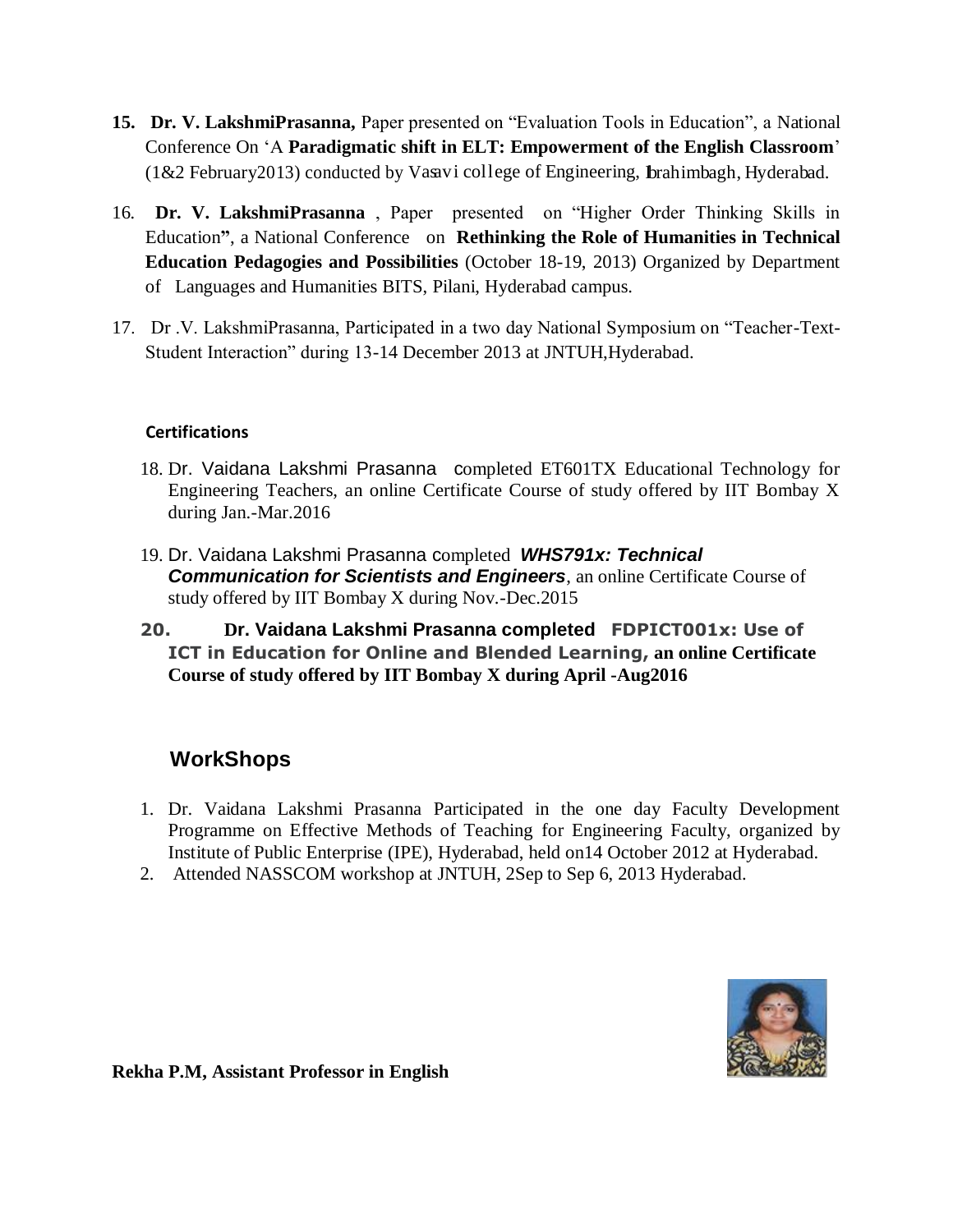- **15. Dr. V. LakshmiPrasanna,** Paper presented on "Evaluation Tools in Education", a National Conference On 'A **Paradigmatic shift in ELT: Empowerment of the English Classroom**' (1&2 February2013) conducted by Vasavi college of Engineering, Ibrahimbagh, Hyderabad.
- 16*.* **Dr. V. LakshmiPrasanna** , Paper presented on "Higher Order Thinking Skills in Education**"**, a National Conference on **Rethinking the Role of Humanities in Technical Education Pedagogies and Possibilities** (October 18-19, 2013) Organized by Department of Languages and Humanities BITS, Pilani, Hyderabad campus.
- 17. Dr .V. LakshmiPrasanna, Participated in a two day National Symposium on "Teacher-Text-Student Interaction" during 13-14 December 2013 at JNTUH,Hyderabad.

# **Certifications**

- 18. Dr. Vaidana Lakshmi Prasannacompleted ET601TX Educational Technology for Engineering Teachers, an online Certificate Course of study offered by IIT Bombay X during Jan.-Mar.2016
- 19. Dr. Vaidana Lakshmi Prasanna completed *WHS791x: Technical Communication for Scientists and Engineers*, an online Certificate Course of study offered by IIT Bombay X during Nov.-Dec.2015
- **20. Dr. Vaidana Lakshmi Prasanna completed FDPICT001x: Use of ICT in Education for Online and Blended Learning, an online Certificate Course of study offered by IIT Bombay X during April -Aug2016**

# **WorkShops**

- 1. Dr. Vaidana Lakshmi Prasanna Participated in the one day Faculty Development Programme on Effective Methods of Teaching for Engineering Faculty, organized by Institute of Public Enterprise (IPE), Hyderabad, held on14 October 2012 at Hyderabad.
- 2. Attended NASSCOM workshop at JNTUH, 2Sep to Sep 6, 2013 Hyderabad.



**Rekha P.M, Assistant Professor in English**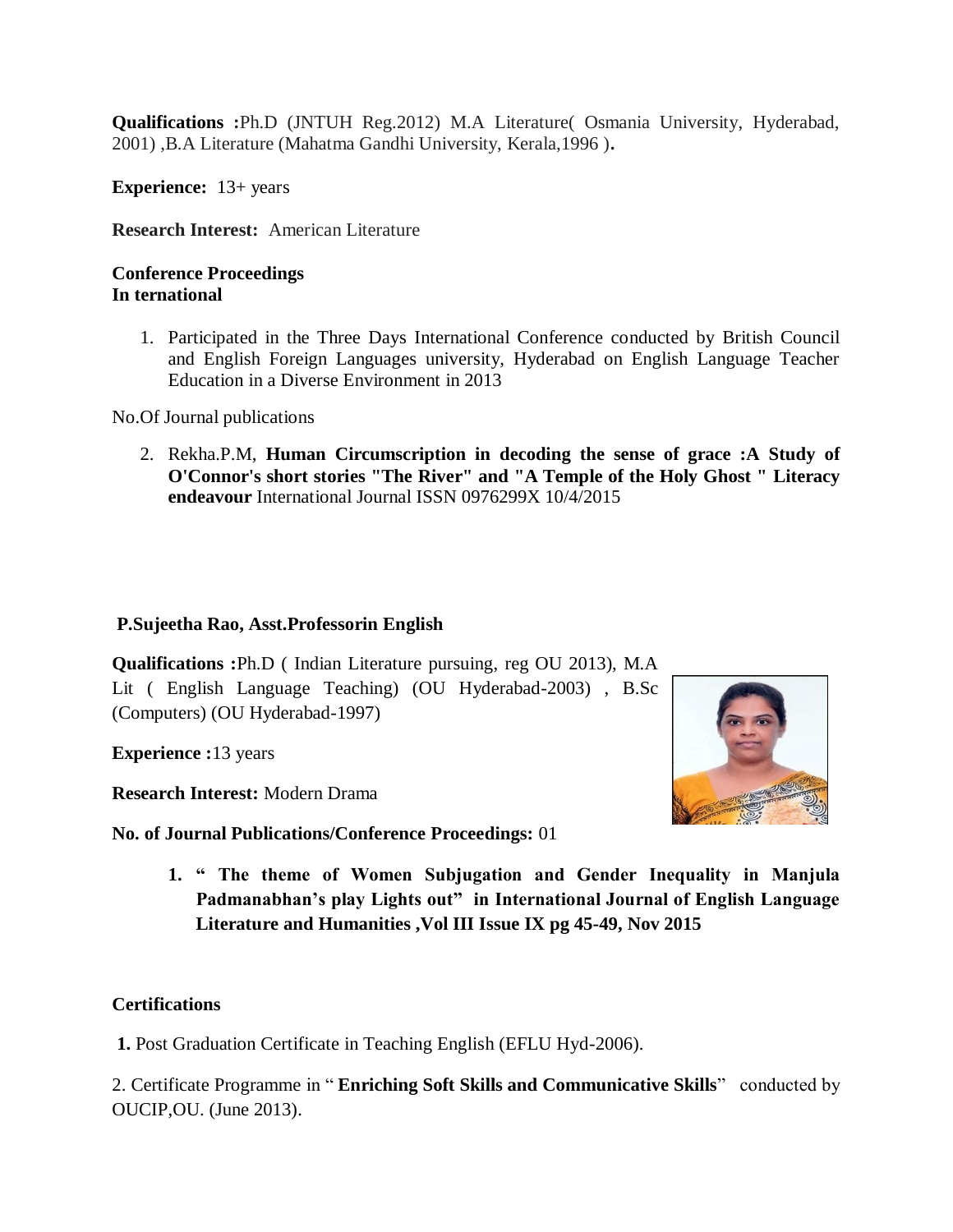**Qualifications :**Ph.D (JNTUH Reg.2012) M.A Literature( Osmania University, Hyderabad, 2001) ,B.A Literature (Mahatma Gandhi University, Kerala,1996 )**.**

**Experience:** 13+ years

**Research Interest:** American Literature

# **Conference Proceedings In ternational**

1. Participated in the Three Days International Conference conducted by British Council and English Foreign Languages university, Hyderabad on English Language Teacher Education in a Diverse Environment in 2013

No.Of Journal publications

2. Rekha.P.M, **Human Circumscription in decoding the sense of grace :A Study of O'Connor's short stories "The River" and "A Temple of the Holy Ghost " Literacy endeavour** International Journal ISSN 0976299X 10/4/2015

# **P.Sujeetha Rao, Asst.Professorin English**

**Qualifications :**Ph.D ( Indian Literature pursuing, reg OU 2013), M.A Lit ( English Language Teaching) (OU Hyderabad-2003) , B.Sc (Computers) (OU Hyderabad-1997)

**Experience :**13 years

**Research Interest:** Modern Drama

**No. of Journal Publications/Conference Proceedings:** 01

**1. " The theme of Women Subjugation and Gender Inequality in Manjula Padmanabhan's play Lights out" in International Journal of English Language Literature and Humanities ,Vol III Issue IX pg 45-49, Nov 2015**

# **Certifications**

**1.** Post Graduation Certificate in Teaching English (EFLU Hyd-2006).

2. Certificate Programme in " **Enriching Soft Skills and Communicative Skills**" conducted by OUCIP,OU. (June 2013).

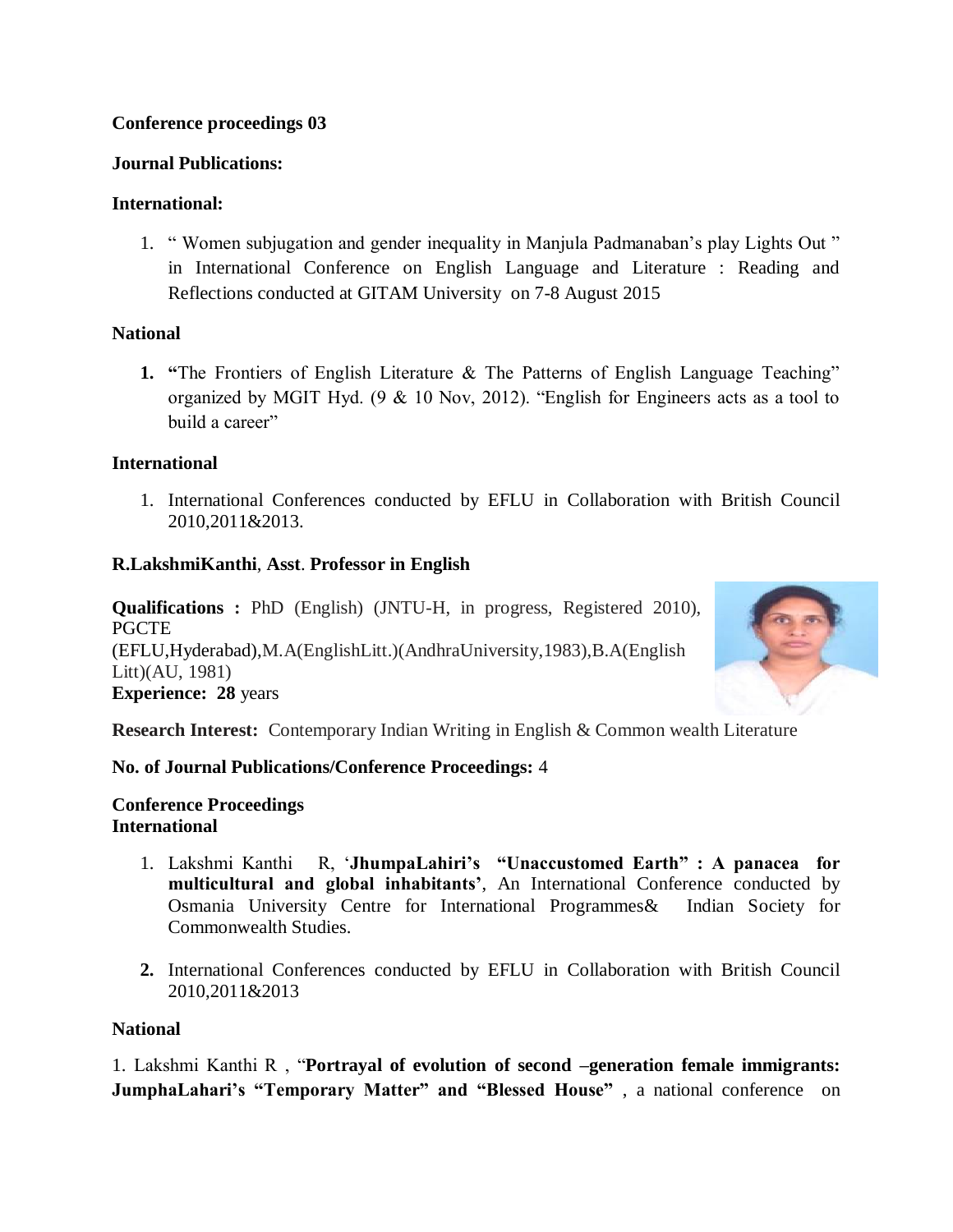# **Conference proceedings 03**

# **Journal Publications:**

# **International:**

1. " Women subjugation and gender inequality in Manjula Padmanaban's play Lights Out " in International Conference on English Language and Literature : Reading and Reflections conducted at GITAM University on 7-8 August 2015

# **National**

**1. "**The Frontiers of English Literature & The Patterns of English Language Teaching" organized by MGIT Hyd. (9 & 10 Nov, 2012). "English for Engineers acts as a tool to build a career"

# **International**

1. International Conferences conducted by EFLU in Collaboration with British Council 2010,2011&2013.

# **R.LakshmiKanthi**, **Asst**. **Professor in English**

**Qualifications :** PhD (English) (JNTU-H, in progress, Registered 2010), **PGCTE** (EFLU,Hyderabad),M.A(EnglishLitt.)(AndhraUniversity,1983),B.A(English Litt)(AU, 1981) **Experience: 28** years



**Research Interest:** Contemporary Indian Writing in English & Common wealth Literature

# **No. of Journal Publications/Conference Proceedings:** 4

**Conference Proceedings International** 

- 1. Lakshmi Kanthi R, '**JhumpaLahiri's "Unaccustomed Earth" : A panacea for multicultural and global inhabitants'**, An International Conference conducted by Osmania University Centre for International Programmes& Indian Society for Commonwealth Studies.
- **2.** International Conferences conducted by EFLU in Collaboration with British Council 2010,2011&2013

# **National**

1. Lakshmi Kanthi R , "**Portrayal of evolution of second –generation female immigrants: JumphaLahari's "Temporary Matter" and "Blessed House"** , a national conference on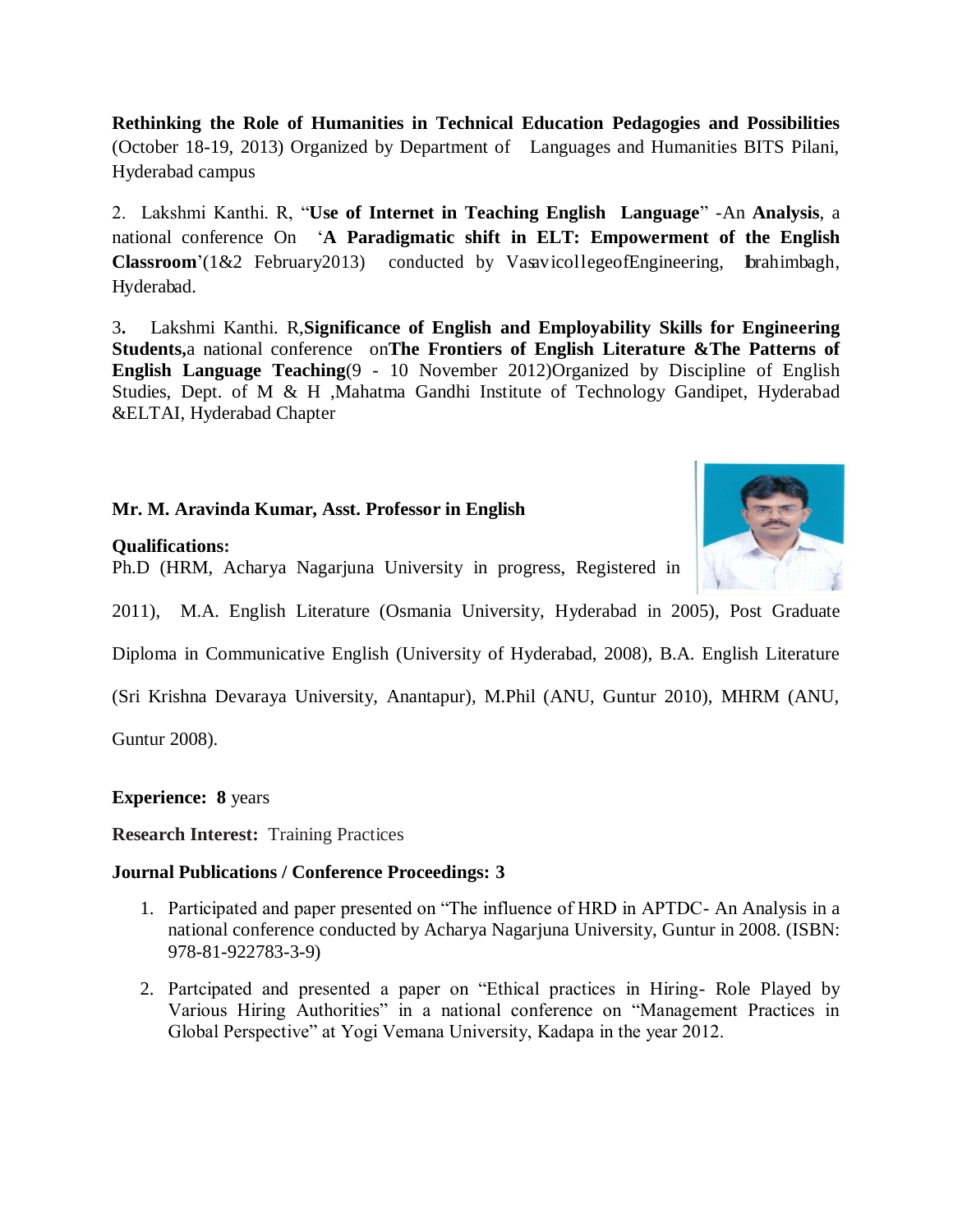**Rethinking the Role of Humanities in Technical Education Pedagogies and Possibilities** (October 18-19, 2013) Organized by Department of Languages and Humanities BITS Pilani, Hyderabad campus

2. Lakshmi Kanthi. R, "**Use of Internet in Teaching English Language**" -An **Analysis**, a national conference On '**A Paradigmatic shift in ELT: Empowerment of the English** Classroom'(1&2 February2013) conducted by VasavicollegeofEngineering, brahimbagh, Hyderabad.

3**.** Lakshmi Kanthi. R,**Significance of English and Employability Skills for Engineering Students,**a national conference on**The Frontiers of English Literature &The Patterns of English Language Teaching**(9 - 10 November 2012)Organized by Discipline of English Studies, Dept. of M & H ,Mahatma Gandhi Institute of Technology Gandipet, Hyderabad &ELTAI, Hyderabad Chapter

# **Mr. M. Aravinda Kumar, Asst. Professor in English**

#### **Qualifications:**

Ph.D (HRM, Acharya Nagarjuna University in progress, Registered in



2011), M.A. English Literature (Osmania University, Hyderabad in 2005), Post Graduate

Diploma in Communicative English (University of Hyderabad, 2008), B.A. English Literature

(Sri Krishna Devaraya University, Anantapur), M.Phil (ANU, Guntur 2010), MHRM (ANU,

Guntur 2008).

**Experience: 8** years

**Research Interest:** Training Practices

### **Journal Publications / Conference Proceedings: 3**

- 1. Participated and paper presented on "The influence of HRD in APTDC- An Analysis in a national conference conducted by Acharya Nagarjuna University, Guntur in 2008. (ISBN: 978-81-922783-3-9)
- 2. Partcipated and presented a paper on "Ethical practices in Hiring- Role Played by Various Hiring Authorities" in a national conference on "Management Practices in Global Perspective" at Yogi Vemana University, Kadapa in the year 2012.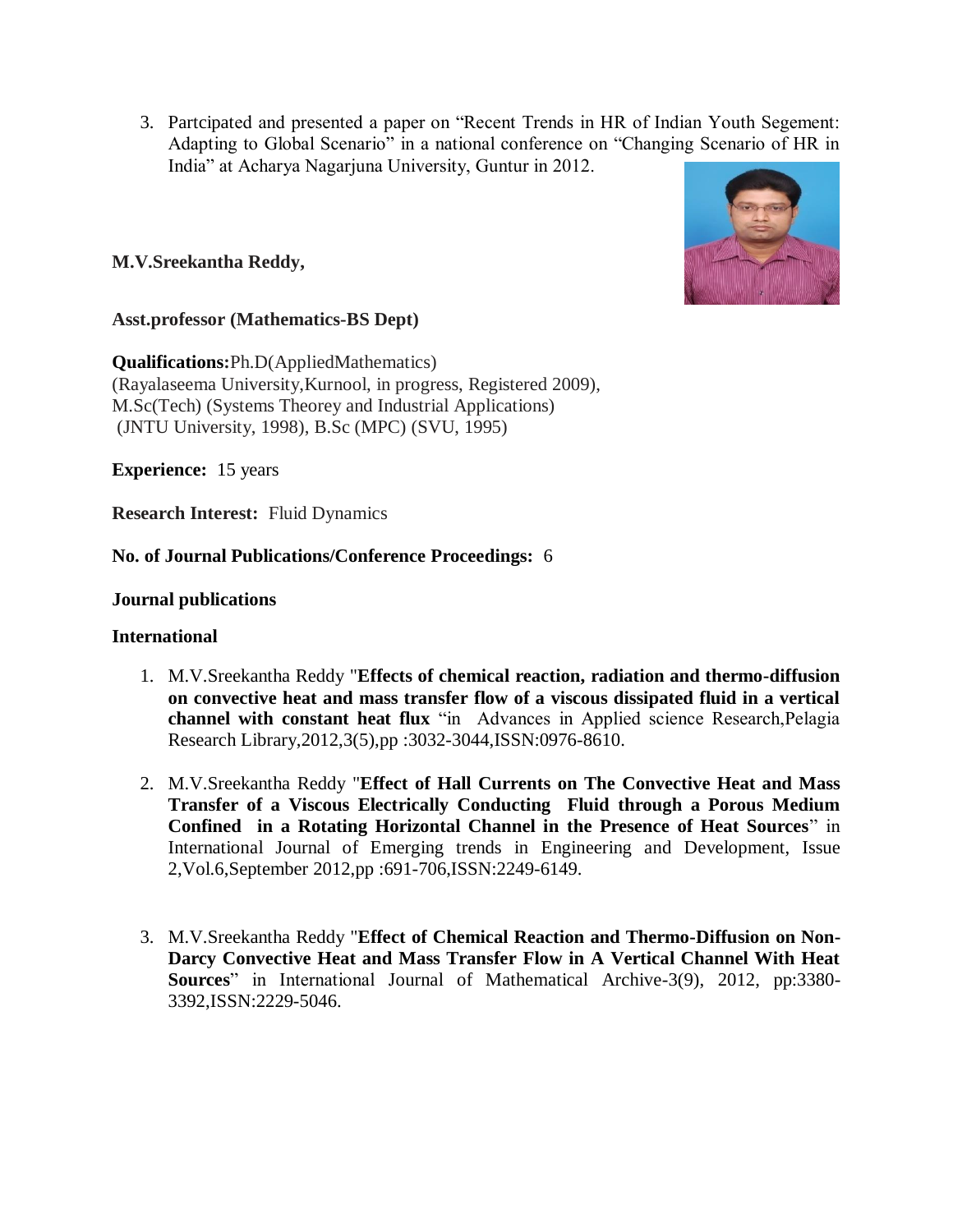3. Partcipated and presented a paper on "Recent Trends in HR of Indian Youth Segement: Adapting to Global Scenario" in a national conference on "Changing Scenario of HR in India" at Acharya Nagarjuna University, Guntur in 2012.

# **M.V.Sreekantha Reddy,**



### **Asst.professor (Mathematics-BS Dept)**

**Qualifications:**Ph.D(AppliedMathematics) (Rayalaseema University,Kurnool, in progress, Registered 2009), M.Sc(Tech) (Systems Theorey and Industrial Applications) (JNTU University, 1998), B.Sc (MPC) (SVU, 1995)

**Experience:** 15 years

**Research Interest:** Fluid Dynamics

# **No. of Journal Publications/Conference Proceedings:** 6

### **Journal publications**

### **International**

- 1. M.V.Sreekantha Reddy "**Effects of chemical reaction, radiation and thermo-diffusion on convective heat and mass transfer flow of a viscous dissipated fluid in a vertical channel with constant heat flux** "in Advances in Applied science Research,Pelagia Research Library,2012,3(5),pp :3032-3044,ISSN:0976-8610.
- 2. M.V.Sreekantha Reddy "**Effect of Hall Currents on The Convective Heat and Mass Transfer of a Viscous Electrically Conducting Fluid through a Porous Medium Confined in a Rotating Horizontal Channel in the Presence of Heat Sources**" in International Journal of Emerging trends in Engineering and Development, Issue 2,Vol.6,September 2012,pp :691-706,ISSN:2249-6149.
- 3. M.V.Sreekantha Reddy "**Effect of Chemical Reaction and Thermo-Diffusion on Non-Darcy Convective Heat and Mass Transfer Flow in A Vertical Channel With Heat Sources**" in International Journal of Mathematical Archive-3(9), 2012, pp:3380- 3392,ISSN:2229-5046.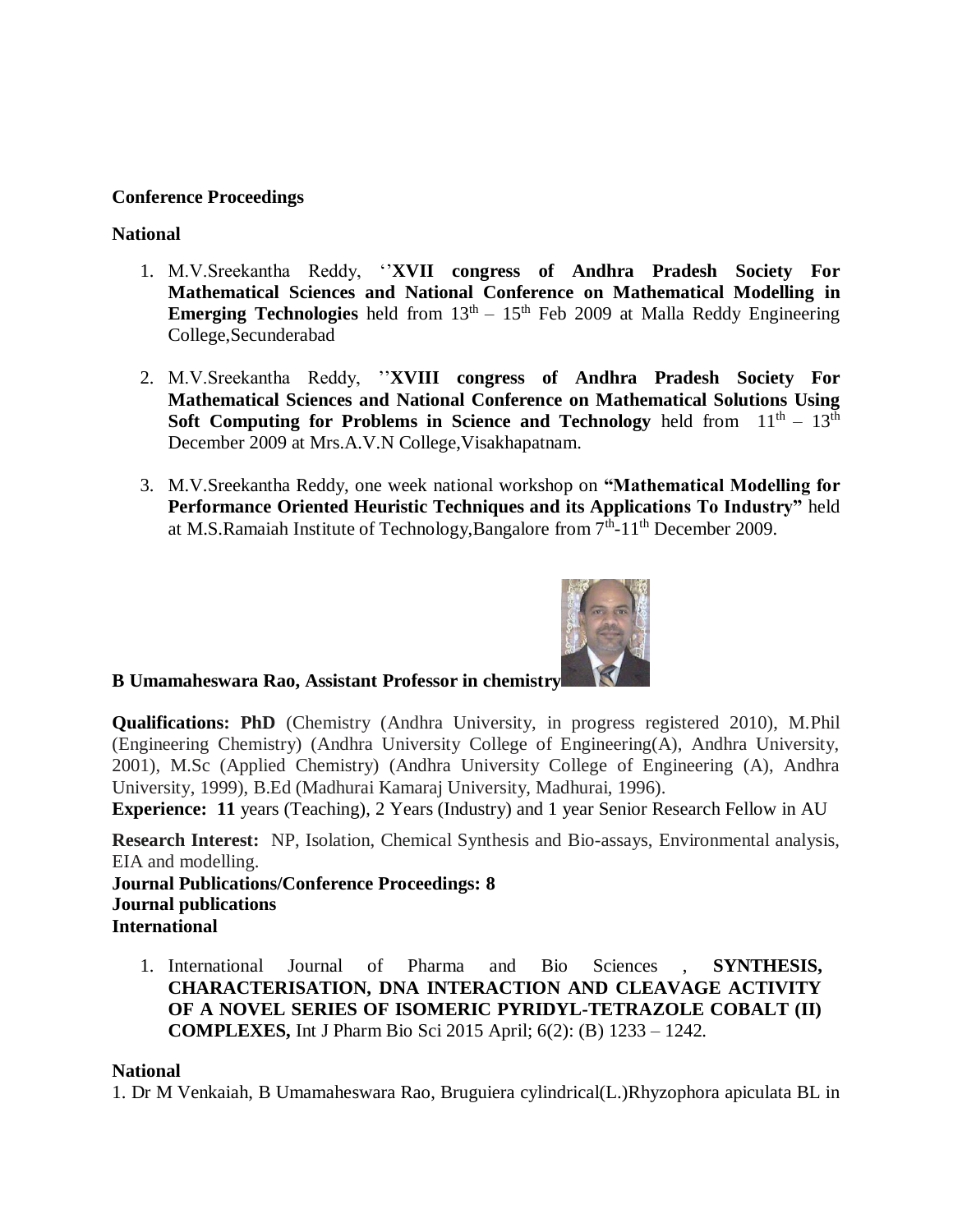### **Conference Proceedings**

### **National**

- 1. M.V.Sreekantha Reddy, ''**XVII congress of Andhra Pradesh Society For Mathematical Sciences and National Conference on Mathematical Modelling in Emerging Technologies** held from  $13<sup>th</sup> - 15<sup>th</sup>$  Feb 2009 at Malla Reddy Engineering College,Secunderabad
- 2. M.V.Sreekantha Reddy, ''**XVIII congress of Andhra Pradesh Society For Mathematical Sciences and National Conference on Mathematical Solutions Using Soft Computing for Problems in Science and Technology** held from  $11<sup>th</sup> - 13<sup>th</sup>$ December 2009 at Mrs.A.V.N College,Visakhapatnam.
- 3. M.V.Sreekantha Reddy, one week national workshop on **"Mathematical Modelling for Performance Oriented Heuristic Techniques and its Applications To Industry"** held at M.S.Ramaiah Institute of Technology, Bangalore from  $7<sup>th</sup>$ -11<sup>th</sup> December 2009.



# **B Umamaheswara Rao, Assistant Professor in chemistry**

**Qualifications: PhD** (Chemistry (Andhra University, in progress registered 2010), M.Phil (Engineering Chemistry) (Andhra University College of Engineering(A), Andhra University, 2001), M.Sc (Applied Chemistry) (Andhra University College of Engineering (A), Andhra University, 1999), B.Ed (Madhurai Kamaraj University, Madhurai, 1996).

**Experience: 11** years (Teaching), 2 Years (Industry) and 1 year Senior Research Fellow in AU

**Research Interest:** NP, Isolation, Chemical Synthesis and Bio-assays, Environmental analysis, EIA and modelling.

**Journal Publications/Conference Proceedings: 8 Journal publications International**

1. International Journal of Pharma and Bio Sciences , **SYNTHESIS, CHARACTERISATION, DNA INTERACTION AND CLEAVAGE ACTIVITY OF A NOVEL SERIES OF ISOMERIC PYRIDYL-TETRAZOLE COBALT (II) COMPLEXES,** Int J Pharm Bio Sci 2015 April; 6(2): (B) 1233 – 1242.

### **National**

1. Dr M Venkaiah, B Umamaheswara Rao, Bruguiera cylindrical(L.)Rhyzophora apiculata BL in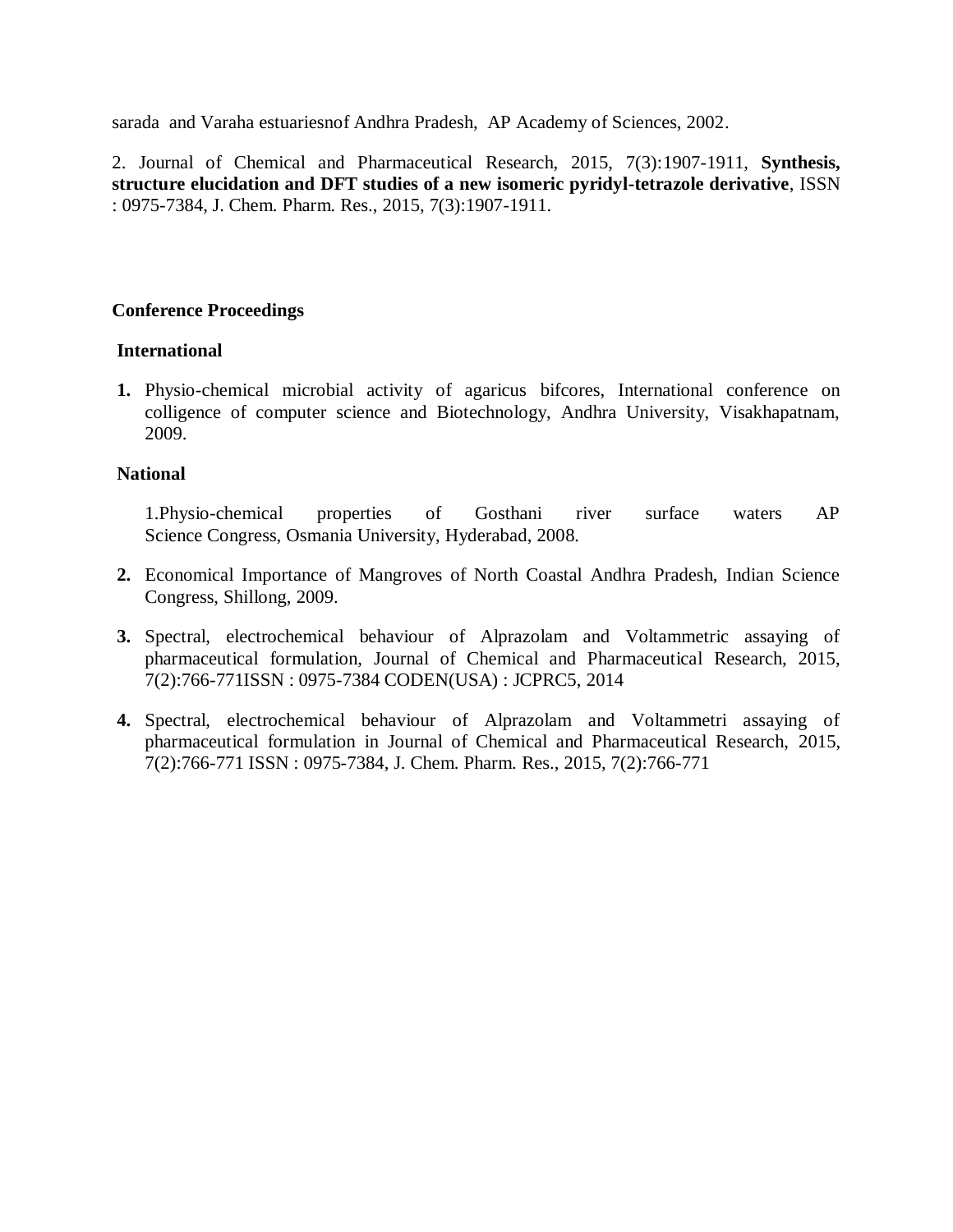sarada and Varaha estuariesnof Andhra Pradesh, AP Academy of Sciences, 2002.

2. Journal of Chemical and Pharmaceutical Research, 2015, 7(3):1907-1911, **Synthesis, structure elucidation and DFT studies of a new isomeric pyridyl-tetrazole derivative**, ISSN : 0975-7384, J. Chem. Pharm. Res., 2015, 7(3):1907-1911.

### **Conference Proceedings**

### **International**

**1.** Physio-chemical microbial activity of agaricus bifcores, International conference on colligence of computer science and Biotechnology, Andhra University, Visakhapatnam, 2009.

### **National**

1.Physio-chemical properties of Gosthani river surface waters AP Science Congress, Osmania University, Hyderabad, 2008.

- **2.** Economical Importance of Mangroves of North Coastal Andhra Pradesh, Indian Science Congress, Shillong, 2009.
- **3.** Spectral, electrochemical behaviour of Alprazolam and Voltammetric assaying of pharmaceutical formulation, Journal of Chemical and Pharmaceutical Research, 2015, 7(2):766-771ISSN : 0975-7384 CODEN(USA) : JCPRC5, 2014
- **4.** Spectral, electrochemical behaviour of Alprazolam and Voltammetri assaying of pharmaceutical formulation in Journal of Chemical and Pharmaceutical Research, 2015, 7(2):766-771 ISSN : 0975-7384, J. Chem. Pharm. Res., 2015, 7(2):766-771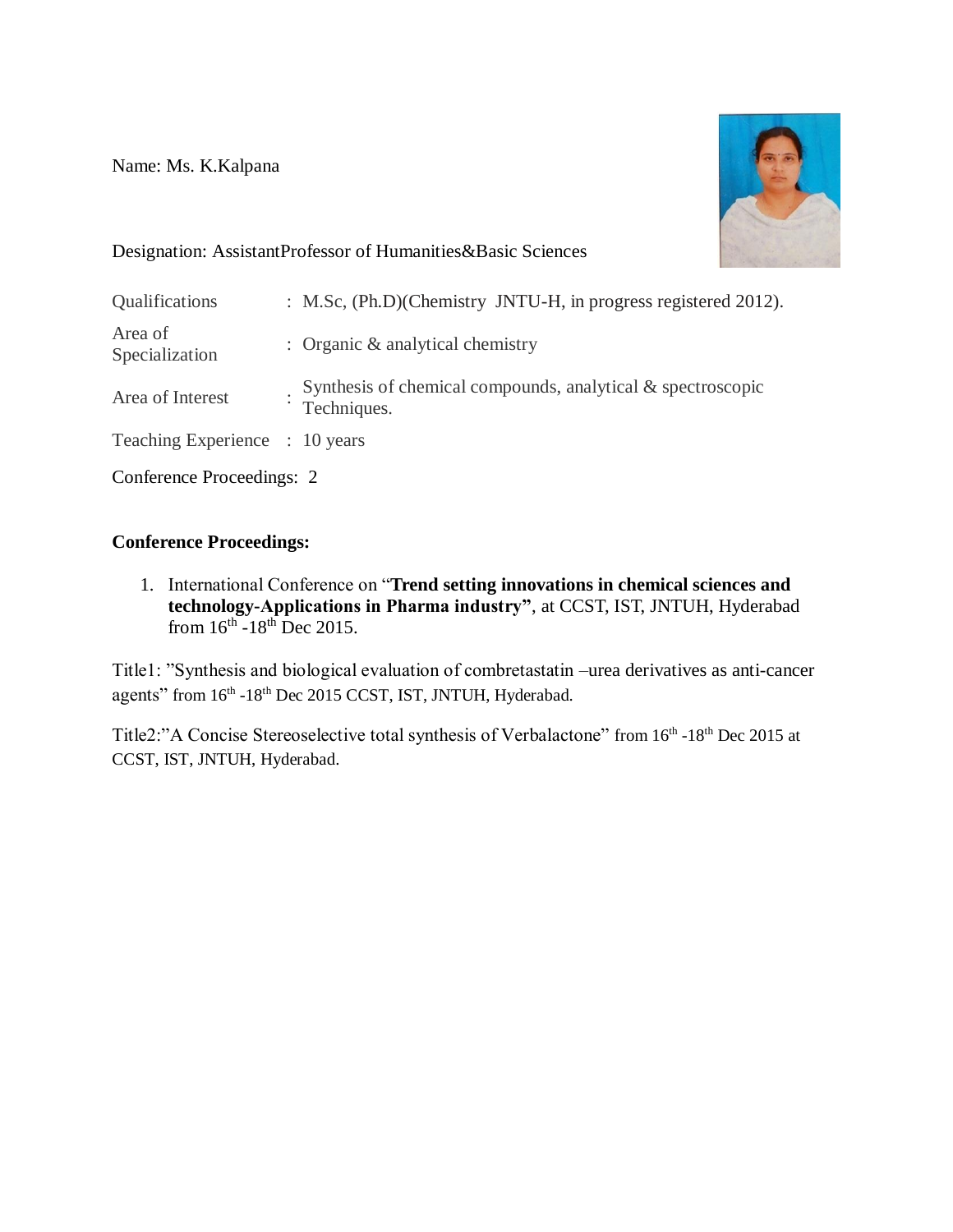Name: Ms. K.Kalpana



# Designation: AssistantProfessor of Humanities&Basic Sciences

| Qualifications                 | : M.Sc, (Ph.D)(Chemistry JNTU-H, in progress registered 2012).             |
|--------------------------------|----------------------------------------------------------------------------|
| Area of<br>Specialization      | : Organic $&$ analytical chemistry                                         |
| Area of Interest               | Synthesis of chemical compounds, analytical & spectroscopic<br>Techniques. |
| Teaching Experience : 10 years |                                                                            |
| Conference Proceedings: 2      |                                                                            |

**Conference Proceedings:**

1. International Conference on "**Trend setting innovations in chemical sciences and technology-Applications in Pharma industry"**, at CCST, IST, JNTUH, Hyderabad from  $16^{\text{th}}$  -18<sup>th</sup> Dec 2015.

Title1: "Synthesis and biological evaluation of combretastatin –urea derivatives as anti-cancer agents" from  $16<sup>th</sup> - 18<sup>th</sup>$  Dec 2015 CCST, IST, JNTUH, Hyderabad.

Title2:"A Concise Stereoselective total synthesis of Verbalactone" from 16<sup>th</sup> -18<sup>th</sup> Dec 2015 at CCST, IST, JNTUH, Hyderabad.